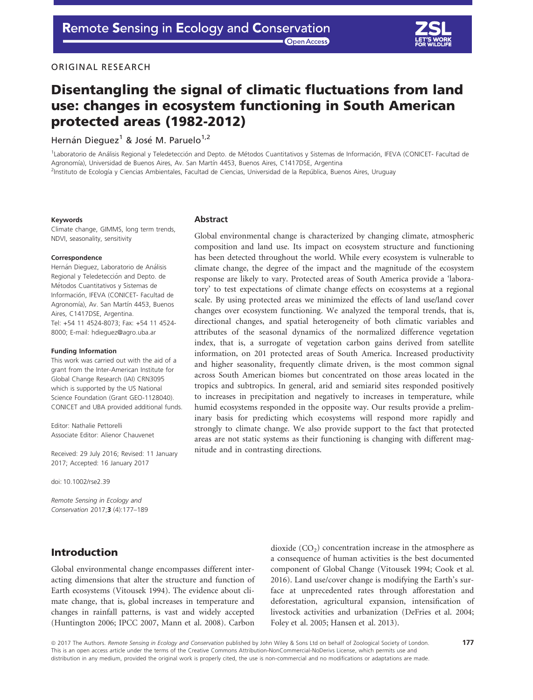Open Access

### ORIGINAL RESEARCH

# Disentangling the signal of climatic fluctuations from land use: changes in ecosystem functioning in South American protected areas (1982-2012)

Hernán Dieguez<sup>1</sup> & José M. Paruelo<sup>1,2</sup>

<sup>1</sup>Laboratorio de Análisis Regional y Teledetección and Depto. de Métodos Cuantitativos y Sistemas de Información, IFEVA (CONICET- Facultad de Agronomía), Universidad de Buenos Aires, Av. San Martín 4453, Buenos Aires, C1417DSE, Argentina <sup>2</sup>Instituto de Ecología y Ciencias Ambientales, Facultad de Ciencias, Universidad de la República, Buenos Aires, Uruguay

#### Keywords

Climate change, GIMMS, long term trends, NDVI, seasonality, sensitivity

#### **Correspondence**

Hernán Dieguez, Laboratorio de Análisis Regional y Teledetección and Depto. de Métodos Cuantitativos y Sistemas de Información, IFEVA (CONICET- Facultad de Agronomía), Av. San Martín 4453, Buenos Aires, C1417DSE, Argentina. Tel: +54 11 4524-8073; Fax: +54 11 4524- 8000; E-mail: hdieguez@agro.uba.ar

#### Funding Information

This work was carried out with the aid of a grant from the Inter-American Institute for Global Change Research (IAI) CRN3095 which is supported by the US National Science Foundation (Grant GEO-1128040). CONICET and UBA provided additional funds.

Editor: Nathalie Pettorelli Associate Editor: Alienor Chauvenet

Received: 29 July 2016; Revised: 11 January 2017; Accepted: 16 January 2017

doi: 10.1002/rse2.39

Remote Sensing in Ecology and Conservation 2017;3 (4):177–189

#### Abstract

Global environmental change is characterized by changing climate, atmospheric composition and land use. Its impact on ecosystem structure and functioning has been detected throughout the world. While every ecosystem is vulnerable to climate change, the degree of the impact and the magnitude of the ecosystem response are likely to vary. Protected areas of South America provide a 'laboratory' to test expectations of climate change effects on ecosystems at a regional scale. By using protected areas we minimized the effects of land use/land cover changes over ecosystem functioning. We analyzed the temporal trends, that is, directional changes, and spatial heterogeneity of both climatic variables and attributes of the seasonal dynamics of the normalized difference vegetation index, that is, a surrogate of vegetation carbon gains derived from satellite information, on 201 protected areas of South America. Increased productivity and higher seasonality, frequently climate driven, is the most common signal across South American biomes but concentrated on those areas located in the tropics and subtropics. In general, arid and semiarid sites responded positively to increases in precipitation and negatively to increases in temperature, while humid ecosystems responded in the opposite way. Our results provide a preliminary basis for predicting which ecosystems will respond more rapidly and strongly to climate change. We also provide support to the fact that protected areas are not static systems as their functioning is changing with different magnitude and in contrasting directions.

# Introduction

Global environmental change encompasses different interacting dimensions that alter the structure and function of Earth ecosystems (Vitousek 1994). The evidence about climate change, that is, global increases in temperature and changes in rainfall patterns, is vast and widely accepted (Huntington 2006; IPCC 2007, Mann et al. 2008). Carbon

dioxide  $(CO<sub>2</sub>)$  concentration increase in the atmosphere as a consequence of human activities is the best documented component of Global Change (Vitousek 1994; Cook et al. 2016). Land use/cover change is modifying the Earth's surface at unprecedented rates through afforestation and deforestation, agricultural expansion, intensification of livestock activities and urbanization (DeFries et al. 2004; Foley et al. 2005; Hansen et al. 2013).

ª 2017 The Authors. Remote Sensing in Ecology and Conservation published by John Wiley & Sons Ltd on behalf of Zoological Society of London. This is an open access article under the terms of the [Creative Commons Attribution-NonCommercial-NoDerivs](http://creativecommons.org/licenses/by-nc-nd/4.0/) License, which permits use and distribution in any medium, provided the original work is properly cited, the use is non-commercial and no modifications or adaptations are made.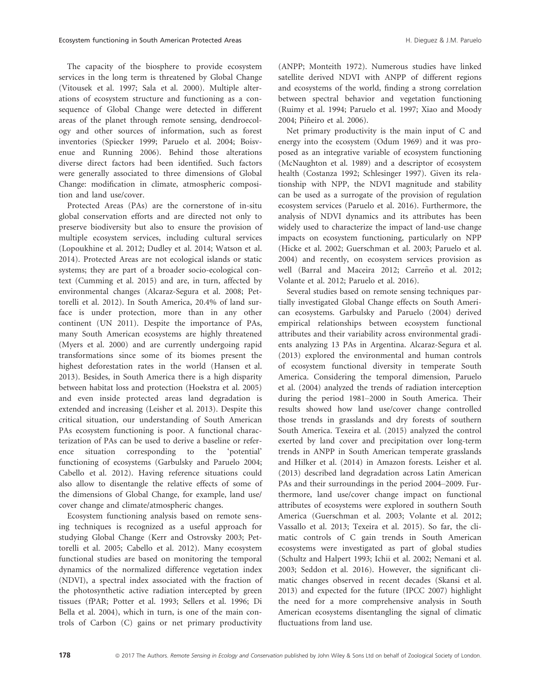The capacity of the biosphere to provide ecosystem services in the long term is threatened by Global Change (Vitousek et al. 1997; Sala et al. 2000). Multiple alterations of ecosystem structure and functioning as a consequence of Global Change were detected in different areas of the planet through remote sensing, dendroecol-

ogy and other sources of information, such as forest inventories (Spiecker 1999; Paruelo et al. 2004; Boisvenue and Running 2006). Behind those alterations diverse direct factors had been identified. Such factors were generally associated to three dimensions of Global Change: modification in climate, atmospheric composition and land use/cover.

Protected Areas (PAs) are the cornerstone of in-situ global conservation efforts and are directed not only to preserve biodiversity but also to ensure the provision of multiple ecosystem services, including cultural services (Lopoukhine et al. 2012; Dudley et al. 2014; Watson et al. 2014). Protected Areas are not ecological islands or static systems; they are part of a broader socio-ecological context (Cumming et al. 2015) and are, in turn, affected by environmental changes (Alcaraz-Segura et al. 2008; Pettorelli et al. 2012). In South America, 20.4% of land surface is under protection, more than in any other continent (UN 2011). Despite the importance of PAs, many South American ecosystems are highly threatened (Myers et al. 2000) and are currently undergoing rapid transformations since some of its biomes present the highest deforestation rates in the world (Hansen et al. 2013). Besides, in South America there is a high disparity between habitat loss and protection (Hoekstra et al. 2005) and even inside protected areas land degradation is extended and increasing (Leisher et al. 2013). Despite this critical situation, our understanding of South American PAs ecosystem functioning is poor. A functional characterization of PAs can be used to derive a baseline or reference situation corresponding to the 'potential' functioning of ecosystems (Garbulsky and Paruelo 2004; Cabello et al. 2012). Having reference situations could also allow to disentangle the relative effects of some of the dimensions of Global Change, for example, land use/ cover change and climate/atmospheric changes.

Ecosystem functioning analysis based on remote sensing techniques is recognized as a useful approach for studying Global Change (Kerr and Ostrovsky 2003; Pettorelli et al. 2005; Cabello et al. 2012). Many ecosystem functional studies are based on monitoring the temporal dynamics of the normalized difference vegetation index (NDVI), a spectral index associated with the fraction of the photosynthetic active radiation intercepted by green tissues (fPAR; Potter et al. 1993; Sellers et al. 1996; Di Bella et al. 2004), which in turn, is one of the main controls of Carbon (C) gains or net primary productivity (ANPP; Monteith 1972). Numerous studies have linked satellite derived NDVI with ANPP of different regions and ecosystems of the world, finding a strong correlation between spectral behavior and vegetation functioning (Ruimy et al. 1994; Paruelo et al. 1997; Xiao and Moody 2004; Pineiro et al. 2006). ~

Net primary productivity is the main input of C and energy into the ecosystem (Odum 1969) and it was proposed as an integrative variable of ecosystem functioning (McNaughton et al. 1989) and a descriptor of ecosystem health (Costanza 1992; Schlesinger 1997). Given its relationship with NPP, the NDVI magnitude and stability can be used as a surrogate of the provision of regulation ecosystem services (Paruelo et al. 2016). Furthermore, the analysis of NDVI dynamics and its attributes has been widely used to characterize the impact of land-use change impacts on ecosystem functioning, particularly on NPP (Hicke et al. 2002; Guerschman et al. 2003; Paruelo et al. 2004) and recently, on ecosystem services provision as well (Barral and Maceira 2012; Carreño et al. 2012; Volante et al. 2012; Paruelo et al. 2016).

Several studies based on remote sensing techniques partially investigated Global Change effects on South American ecosystems. Garbulsky and Paruelo (2004) derived empirical relationships between ecosystem functional attributes and their variability across environmental gradients analyzing 13 PAs in Argentina. Alcaraz-Segura et al. (2013) explored the environmental and human controls of ecosystem functional diversity in temperate South America. Considering the temporal dimension, Paruelo et al. (2004) analyzed the trends of radiation interception during the period 1981–2000 in South America. Their results showed how land use/cover change controlled those trends in grasslands and dry forests of southern South America. Texeira et al. (2015) analyzed the control exerted by land cover and precipitation over long-term trends in ANPP in South American temperate grasslands and Hilker et al. (2014) in Amazon forests. Leisher et al. (2013) described land degradation across Latin American PAs and their surroundings in the period 2004–2009. Furthermore, land use/cover change impact on functional attributes of ecosystems were explored in southern South America (Guerschman et al. 2003; Volante et al. 2012; Vassallo et al. 2013; Texeira et al. 2015). So far, the climatic controls of C gain trends in South American ecosystems were investigated as part of global studies (Schultz and Halpert 1993; Ichii et al. 2002; Nemani et al. 2003; Seddon et al. 2016). However, the significant climatic changes observed in recent decades (Skansi et al. 2013) and expected for the future (IPCC 2007) highlight the need for a more comprehensive analysis in South American ecosystems disentangling the signal of climatic fluctuations from land use.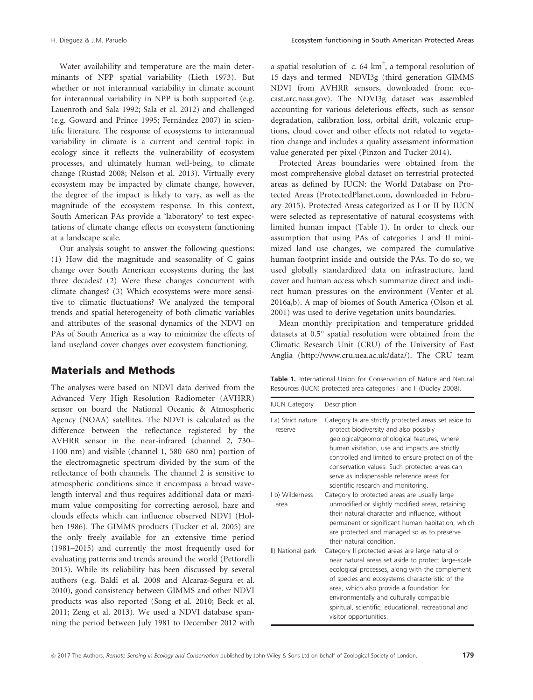Water availability and temperature are the main determinants of NPP spatial variability (Lieth 1973). But whether or not interannual variability in climate account for interannual variability in NPP is both supported (e.g. Lauenroth and Sala 1992; Sala et al. 2012) and challenged (e.g. Goward and Prince 1995; Fernández 2007) in scientific literature. The response of ecosystems to interannual variability in climate is a current and central topic in ecology since it reflects the vulnerability of ecosystem processes, and ultimately human well-being, to climate change (Rustad 2008; Nelson et al. 2013). Virtually every ecosystem may be impacted by climate change, however, the degree of the impact is likely to vary, as well as the magnitude of the ecosystem response. In this context, South American PAs provide a 'laboratory' to test expectations of climate change effects on ecosystem functioning at a landscape scale.

Our analysis sought to answer the following questions: (1) How did the magnitude and seasonality of C gains change over South American ecosystems during the last three decades? (2) Were these changes concurrent with climate changes? (3) Which ecosystems were more sensitive to climatic fluctuations? We analyzed the temporal trends and spatial heterogeneity of both climatic variables and attributes of the seasonal dynamics of the NDVI on PAs of South America as a way to minimize the effects of land use/land cover changes over ecosystem functioning.

# Materials and Methods

The analyses were based on NDVI data derived from the Advanced Very High Resolution Radiometer (AVHRR) sensor on board the National Oceanic & Atmospheric Agency (NOAA) satellites. The NDVI is calculated as the difference between the reflectance registered by the AVHRR sensor in the near-infrared (channel 2, 730– 1100 nm) and visible (channel 1, 580–680 nm) portion of the electromagnetic spectrum divided by the sum of the reflectance of both channels. The channel 2 is sensitive to atmospheric conditions since it encompass a broad wavelength interval and thus requires additional data or maximum value compositing for correcting aerosol, haze and clouds effects which can influence observed NDVI (Holben 1986). The GIMMS products (Tucker et al. 2005) are the only freely available for an extensive time period (1981–2015) and currently the most frequently used for evaluating patterns and trends around the world (Pettorelli 2013). While its reliability has been discussed by several authors (e.g. Baldi et al. 2008 and Alcaraz-Segura et al. 2010), good consistency between GIMMS and other NDVI products was also reported (Song et al. 2010; Beck et al. 2011; Zeng et al. 2013). We used a NDVI database spanning the period between July 1981 to December 2012 with

a spatial resolution of  $c. 64 \text{ km}^2$ , a temporal resolution of 15 days and termed NDVI3g (third generation GIMMS NDVI from AVHRR sensors, downloaded from: ecocast.arc.nasa.gov). The NDVI3g dataset was assembled accounting for various deleterious effects, such as sensor degradation, calibration loss, orbital drift, volcanic eruptions, cloud cover and other effects not related to vegetation change and includes a quality assessment information value generated per pixel (Pinzon and Tucker 2014).

Protected Areas boundaries were obtained from the most comprehensive global dataset on terrestrial protected areas as defined by IUCN: the World Database on Protected Areas (ProtectedPlanet.com, downloaded in February 2015). Protected Areas categorized as I or II by IUCN were selected as representative of natural ecosystems with limited human impact (Table 1). In order to check our assumption that using PAs of categories I and II minimized land use changes, we compared the cumulative human footprint inside and outside the PAs. To do so, we used globally standardized data on infrastructure, land cover and human access which summarize direct and indirect human pressures on the environment (Venter et al. 2016a,b). A map of biomes of South America (Olson et al. 2001) was used to derive vegetation units boundaries.

Mean monthly precipitation and temperature gridded datasets at 0.5° spatial resolution were obtained from the Climatic Research Unit (CRU) of the University of East Anglia [\(http://www.cru.uea.ac.uk/data/\)](http://www.cru.uea.ac.uk/data/). The CRU team

Table 1. International Union for Conservation of Nature and Natural Resources (IUCN) protected area categories I and II (Dudley 2008).

| <b>IUCN Category</b>          | Description                                                                                                                                                                                                                                                                                                                                                                                  |  |  |  |  |
|-------------------------------|----------------------------------------------------------------------------------------------------------------------------------------------------------------------------------------------------------------------------------------------------------------------------------------------------------------------------------------------------------------------------------------------|--|--|--|--|
| I a) Strict nature<br>reserve | Category la are strictly protected areas set aside to<br>protect biodiversity and also possibly<br>geological/geomorphological features, where<br>human visitation, use and impacts are strictly<br>controlled and limited to ensure protection of the<br>conservation values. Such protected areas can<br>serve as indispensable reference areas for<br>scientific research and monitoring. |  |  |  |  |
| I b) Wilderness<br>area       | Category Ib protected areas are usually large<br>unmodified or slightly modified areas, retaining<br>their natural character and influence, without<br>permanent or significant human habitation, which<br>are protected and managed so as to preserve<br>their natural condition.                                                                                                           |  |  |  |  |
| II) National park             | Category II protected areas are large natural or<br>near natural areas set aside to protect large-scale<br>ecological processes, along with the complement<br>of species and ecosystems characteristic of the<br>area, which also provide a foundation for<br>environmentally and culturally compatible<br>spiritual, scientific, educational, recreational and<br>visitor opportunities.    |  |  |  |  |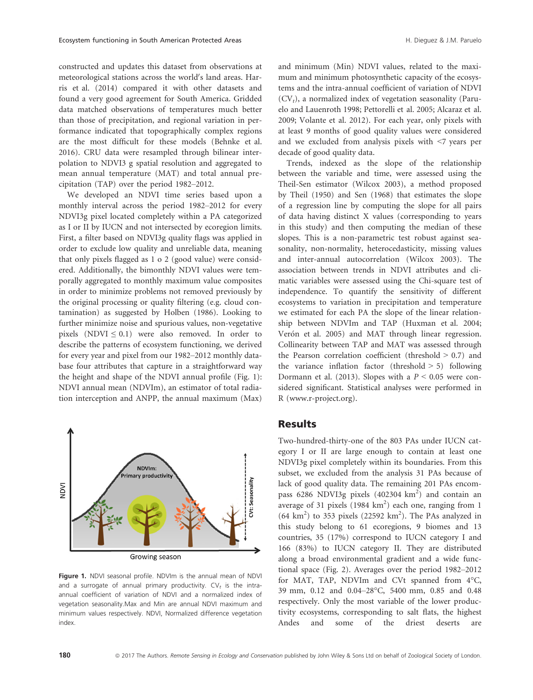constructed and updates this dataset from observations at meteorological stations across the world's land areas. Harris et al. (2014) compared it with other datasets and found a very good agreement for South America. Gridded data matched observations of temperatures much better than those of precipitation, and regional variation in performance indicated that topographically complex regions are the most difficult for these models (Behnke et al. 2016). CRU data were resampled through bilinear interpolation to NDVI3 g spatial resolution and aggregated to mean annual temperature (MAT) and total annual precipitation (TAP) over the period 1982–2012.

We developed an NDVI time series based upon a monthly interval across the period 1982–2012 for every NDVI3g pixel located completely within a PA categorized as I or II by IUCN and not intersected by ecoregion limits. First, a filter based on NDVI3g quality flags was applied in order to exclude low quality and unreliable data, meaning that only pixels flagged as 1 o 2 (good value) were considered. Additionally, the bimonthly NDVI values were temporally aggregated to monthly maximum value composites in order to minimize problems not removed previously by the original processing or quality filtering (e.g. cloud contamination) as suggested by Holben (1986). Looking to further minimize noise and spurious values, non-vegetative pixels (NDVI  $\leq$  0.1) were also removed. In order to describe the patterns of ecosystem functioning, we derived for every year and pixel from our 1982–2012 monthly database four attributes that capture in a straightforward way the height and shape of the NDVI annual profile (Fig. 1): NDVI annual mean (NDVIm), an estimator of total radiation interception and ANPP, the annual maximum (Max)



Growing season

Figure 1. NDVI seasonal profile. NDVIm is the annual mean of NDVI and a surrogate of annual primary productivity.  $CV_t$  is the intraannual coefficient of variation of NDVI and a normalized index of vegetation seasonality.Max and Min are annual NDVI maximum and minimum values respectively. NDVI, Normalized difference vegetation index.

and minimum (Min) NDVI values, related to the maximum and minimum photosynthetic capacity of the ecosystems and the intra-annual coefficient of variation of NDVI  $(CV_t)$ , a normalized index of vegetation seasonality (Paruelo and Lauenroth 1998; Pettorelli et al. 2005; Alcaraz et al. 2009; Volante et al. 2012). For each year, only pixels with at least 9 months of good quality values were considered and we excluded from analysis pixels with <7 years per decade of good quality data.

Trends, indexed as the slope of the relationship between the variable and time, were assessed using the Theil-Sen estimator (Wilcox 2003), a method proposed by Theil (1950) and Sen (1968) that estimates the slope of a regression line by computing the slope for all pairs of data having distinct X values (corresponding to years in this study) and then computing the median of these slopes. This is a non-parametric test robust against seasonality, non-normality, heterocedasticity, missing values and inter-annual autocorrelation (Wilcox 2003). The association between trends in NDVI attributes and climatic variables were assessed using the Chi-square test of independence. To quantify the sensitivity of different ecosystems to variation in precipitation and temperature we estimated for each PA the slope of the linear relationship between NDVIm and TAP (Huxman et al. 2004; Verón et al. 2005) and MAT through linear regression. Collinearity between TAP and MAT was assessed through the Pearson correlation coefficient (threshold  $> 0.7$ ) and the variance inflation factor (threshold  $> 5$ ) following Dormann et al. (2013). Slopes with a  $P < 0.05$  were considered significant. Statistical analyses were performed in R ([www.r-project.org\)](http://www.r-project.org).

#### Results

Two-hundred-thirty-one of the 803 PAs under IUCN category I or II are large enough to contain at least one NDVI3g pixel completely within its boundaries. From this subset, we excluded from the analysis 31 PAs because of lack of good quality data. The remaining 201 PAs encompass 6286 NDVI3g pixels  $(402304 \text{ km}^2)$  and contain an average of 31 pixels  $(1984 \text{ km}^2)$  each one, ranging from 1  $(64 \text{ km}^2)$  to 353 pixels (22592 km<sup>2</sup>). The PAs analyzed in this study belong to 61 ecoregions, 9 biomes and 13 countries, 35 (17%) correspond to IUCN category I and 166 (83%) to IUCN category II. They are distributed along a broad environmental gradient and a wide functional space (Fig. 2). Averages over the period 1982–2012 for MAT, TAP, NDVIm and CVt spanned from 4°C, 39 mm, 0.12 and 0.04–28°C, 5400 mm, 0.85 and 0.48 respectively. Only the most variable of the lower productivity ecosystems, corresponding to salt flats, the highest Andes and some of the driest deserts are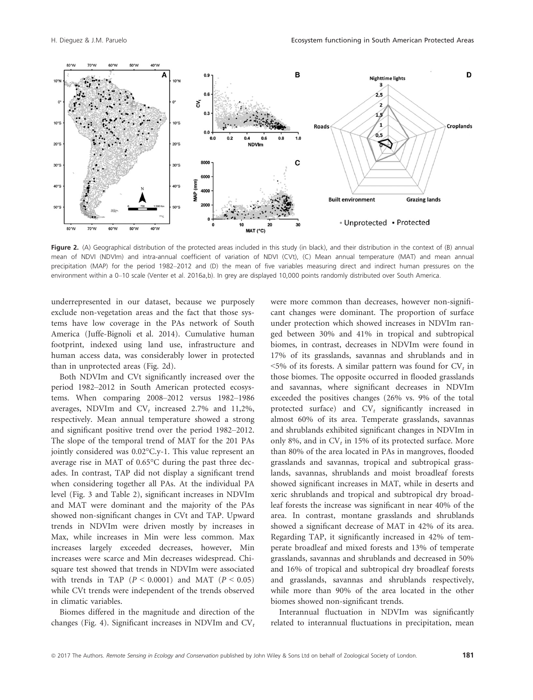

Figure 2. (A) Geographical distribution of the protected areas included in this study (in black), and their distribution in the context of (B) annual mean of NDVI (NDVIm) and intra-annual coefficient of variation of NDVI (CVt), (C) Mean annual temperature (MAT) and mean annual precipitation (MAP) for the period 1982–2012 and (D) the mean of five variables measuring direct and indirect human pressures on the environment within a 0–10 scale (Venter et al. 2016a,b). In grey are displayed 10,000 points randomly distributed over South America.

underrepresented in our dataset, because we purposely exclude non-vegetation areas and the fact that those systems have low coverage in the PAs network of South America (Juffe-Bignoli et al. 2014). Cumulative human footprint, indexed using land use, infrastructure and human access data, was considerably lower in protected than in unprotected areas (Fig. 2d).

Both NDVIm and CVt significantly increased over the period 1982–2012 in South American protected ecosystems. When comparing 2008–2012 versus 1982–1986 averages, NDVIm and  $CV_t$  increased 2.7% and 11,2%, respectively. Mean annual temperature showed a strong and significant positive trend over the period 1982–2012. The slope of the temporal trend of MAT for the 201 PAs jointly considered was 0.02°C.y-1. This value represent an average rise in MAT of 0.65°C during the past three decades. In contrast, TAP did not display a significant trend when considering together all PAs. At the individual PA level (Fig. 3 and Table 2), significant increases in NDVIm and MAT were dominant and the majority of the PAs showed non-significant changes in CVt and TAP. Upward trends in NDVIm were driven mostly by increases in Max, while increases in Min were less common. Max increases largely exceeded decreases, however, Min increases were scarce and Min decreases widespread. Chisquare test showed that trends in NDVIm were associated with trends in TAP  $(P < 0.0001)$  and MAT  $(P < 0.05)$ while CVt trends were independent of the trends observed in climatic variables.

Biomes differed in the magnitude and direction of the changes (Fig. 4). Significant increases in NDVIm and  $CV_t$  were more common than decreases, however non-significant changes were dominant. The proportion of surface under protection which showed increases in NDVIm ranged between 30% and 41% in tropical and subtropical biomes, in contrast, decreases in NDVIm were found in 17% of its grasslands, savannas and shrublands and in  $\leq$ 5% of its forests. A similar pattern was found for CV, in those biomes. The opposite occurred in flooded grasslands and savannas, where significant decreases in NDVIm exceeded the positives changes (26% vs. 9% of the total protected surface) and  $CV_t$  significantly increased in almost 60% of its area. Temperate grasslands, savannas and shrublands exhibited significant changes in NDVIm in only 8%, and in  $CV_t$  in 15% of its protected surface. More than 80% of the area located in PAs in mangroves, flooded grasslands and savannas, tropical and subtropical grasslands, savannas, shrublands and moist broadleaf forests showed significant increases in MAT, while in deserts and xeric shrublands and tropical and subtropical dry broadleaf forests the increase was significant in near 40% of the area. In contrast, montane grasslands and shrublands showed a significant decrease of MAT in 42% of its area. Regarding TAP, it significantly increased in 42% of temperate broadleaf and mixed forests and 13% of temperate grasslands, savannas and shrublands and decreased in 50% and 16% of tropical and subtropical dry broadleaf forests and grasslands, savannas and shrublands respectively, while more than 90% of the area located in the other biomes showed non-significant trends.

Interannual fluctuation in NDVIm was significantly related to interannual fluctuations in precipitation, mean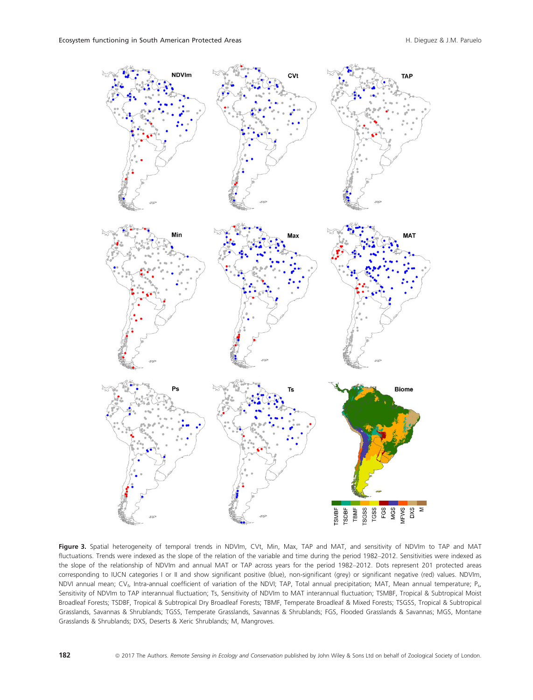

Figure 3. Spatial heterogeneity of temporal trends in NDVIm, CVt, Min, Max, TAP and MAT, and sensitivity of NDVIm to TAP and MAT fluctuations. Trends were indexed as the slope of the relation of the variable and time during the period 1982–2012. Sensitivities were indexed as the slope of the relationship of NDVIm and annual MAT or TAP across years for the period 1982–2012. Dots represent 201 protected areas corresponding to IUCN categories I or II and show significant positive (blue), non-significant (grey) or significant negative (red) values. NDVIm, NDVI annual mean; CV<sub>t</sub>, Intra-annual coefficient of variation of the NDVI; TAP, Total annual precipitation; MAT, Mean annual temperature; P<sub>s</sub>, Sensitivity of NDVIm to TAP interannual fluctuation; Ts, Sensitivity of NDVIm to MAT interannual fluctuation; TSMBF, Tropical & Subtropical Moist Broadleaf Forests; TSDBF, Tropical & Subtropical Dry Broadleaf Forests; TBMF, Temperate Broadleaf & Mixed Forests; TSGSS, Tropical & Subtropical Grasslands, Savannas & Shrublands; TGSS, Temperate Grasslands, Savannas & Shrublands; FGS, Flooded Grasslands & Savannas; MGS, Montane Grasslands & Shrublands; DXS, Deserts & Xeric Shrublands; M, Mangroves.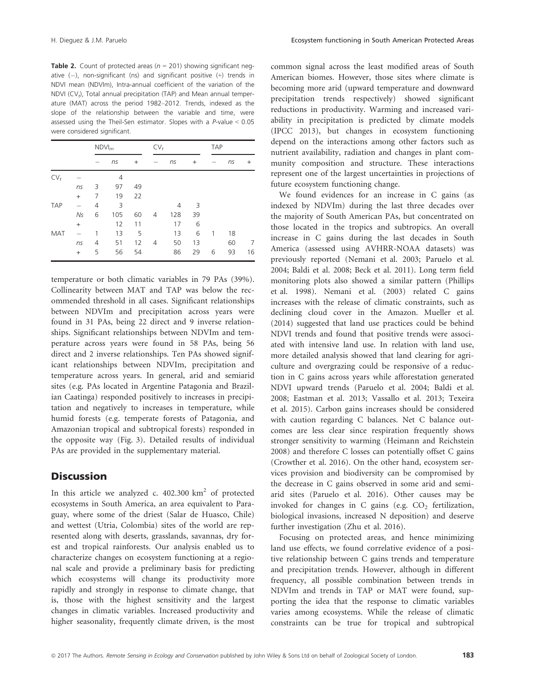**Table 2.** Count of protected areas ( $n = 201$ ) showing significant negative (-), non-significant (ns) and significant positive (+) trends in NDVI mean (NDVIm), Intra-annual coefficient of the variation of the NDVI (CV<sub>t</sub>), Total annual precipitation (TAP) and Mean annual temperature (MAT) across the period 1982–2012. Trends, indexed as the slope of the relationship between the variable and time, were assessed using the Theil-Sen estimator. Slopes with a P-value < 0.05 were considered significant.

|            |                                  | NDVI <sub>m</sub> |     |     | $CV_t$ |     |     | <b>TAP</b>   |    |        |
|------------|----------------------------------|-------------------|-----|-----|--------|-----|-----|--------------|----|--------|
|            |                                  |                   | ns  | $+$ |        | ns  | $+$ |              | ns | $^{+}$ |
| $CV_t$     |                                  |                   | 4   |     |        |     |     |              |    |        |
|            | ns                               | 3                 | 97  | 49  |        |     |     |              |    |        |
|            | $\ddot{}$                        | 7                 | 19  | 22  |        |     |     |              |    |        |
| <b>TAP</b> |                                  | $\overline{4}$    | 3   |     |        | 4   | 3   |              |    |        |
|            | Ns                               | 6                 | 105 | 60  | 4      | 128 | 39  |              |    |        |
|            | $\begin{array}{c} + \end{array}$ |                   | 12  | 11  |        | 17  | 6   |              |    |        |
| <b>MAT</b> | -                                | 1                 | 13  | 5   |        | 13  | 6   | $\mathbf{1}$ | 18 |        |
|            | ns                               | 4                 | 51  | 12  | 4      | 50  | 13  |              | 60 | 7      |
|            | $\begin{array}{c} + \end{array}$ | 5                 | 56  | 54  |        | 86  | 29  | 6            | 93 | 16     |

temperature or both climatic variables in 79 PAs (39%). Collinearity between MAT and TAP was below the recommended threshold in all cases. Significant relationships between NDVIm and precipitation across years were found in 31 PAs, being 22 direct and 9 inverse relationships. Significant relationships between NDVIm and temperature across years were found in 58 PAs, being 56 direct and 2 inverse relationships. Ten PAs showed significant relationships between NDVIm, precipitation and temperature across years. In general, arid and semiarid sites (e.g. PAs located in Argentine Patagonia and Brazilian Caatinga) responded positively to increases in precipitation and negatively to increases in temperature, while humid forests (e.g. temperate forests of Patagonia, and Amazonian tropical and subtropical forests) responded in the opposite way (Fig. 3). Detailed results of individual PAs are provided in the supplementary material.

# **Discussion**

In this article we analyzed c.  $402.300 \text{ km}^2$  of protected ecosystems in South America, an area equivalent to Paraguay, where some of the driest (Salar de Huasco, Chile) and wettest (Utria, Colombia) sites of the world are represented along with deserts, grasslands, savannas, dry forest and tropical rainforests. Our analysis enabled us to characterize changes on ecosystem functioning at a regional scale and provide a preliminary basis for predicting which ecosystems will change its productivity more rapidly and strongly in response to climate change, that is, those with the highest sensitivity and the largest changes in climatic variables. Increased productivity and higher seasonality, frequently climate driven, is the most common signal across the least modified areas of South American biomes. However, those sites where climate is becoming more arid (upward temperature and downward precipitation trends respectively) showed significant reductions in productivity. Warming and increased variability in precipitation is predicted by climate models (IPCC 2013), but changes in ecosystem functioning depend on the interactions among other factors such as nutrient availability, radiation and changes in plant community composition and structure. These interactions represent one of the largest uncertainties in projections of future ecosystem functioning change.

We found evidences for an increase in C gains (as indexed by NDVIm) during the last three decades over the majority of South American PAs, but concentrated on those located in the tropics and subtropics. An overall increase in C gains during the last decades in South America (assessed using AVHRR-NOAA datasets) was previously reported (Nemani et al. 2003; Paruelo et al. 2004; Baldi et al. 2008; Beck et al. 2011). Long term field monitoring plots also showed a similar pattern (Phillips et al. 1998). Nemani et al. (2003) related C gains increases with the release of climatic constraints, such as declining cloud cover in the Amazon. Mueller et al. (2014) suggested that land use practices could be behind NDVI trends and found that positive trends were associated with intensive land use. In relation with land use, more detailed analysis showed that land clearing for agriculture and overgrazing could be responsive of a reduction in C gains across years while afforestation generated NDVI upward trends (Paruelo et al. 2004; Baldi et al. 2008; Eastman et al. 2013; Vassallo et al. 2013; Texeira et al. 2015). Carbon gains increases should be considered with caution regarding C balances. Net C balance outcomes are less clear since respiration frequently shows stronger sensitivity to warming (Heimann and Reichstein 2008) and therefore C losses can potentially offset C gains (Crowther et al. 2016). On the other hand, ecosystem services provision and biodiversity can be compromised by the decrease in C gains observed in some arid and semiarid sites (Paruelo et al. 2016). Other causes may be invoked for changes in C gains (e.g.  $CO<sub>2</sub>$  fertilization, biological invasions, increased N deposition) and deserve further investigation (Zhu et al. 2016).

Focusing on protected areas, and hence minimizing land use effects, we found correlative evidence of a positive relationship between C gains trends and temperature and precipitation trends. However, although in different frequency, all possible combination between trends in NDVIm and trends in TAP or MAT were found, supporting the idea that the response to climatic variables varies among ecosystems. While the release of climatic constraints can be true for tropical and subtropical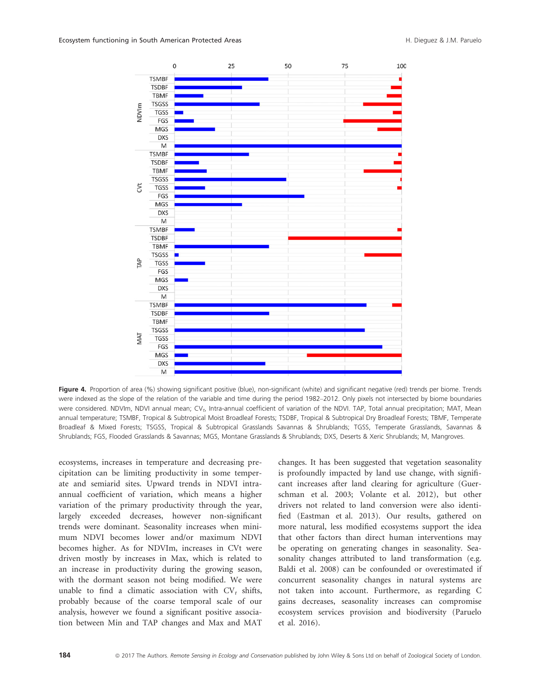

Figure 4. Proportion of area (%) showing significant positive (blue), non-significant (white) and significant negative (red) trends per biome. Trends were indexed as the slope of the relation of the variable and time during the period 1982–2012. Only pixels not intersected by biome boundaries were considered. NDVIm, NDVI annual mean; CV<sub>t</sub>, Intra-annual coefficient of variation of the NDVI. TAP, Total annual precipitation; MAT, Mean annual temperature; TSMBF, Tropical & Subtropical Moist Broadleaf Forests; TSDBF, Tropical & Subtropical Dry Broadleaf Forests; TBMF, Temperate Broadleaf & Mixed Forests; TSGSS, Tropical & Subtropical Grasslands Savannas & Shrublands; TGSS, Temperate Grasslands, Savannas & Shrublands; FGS, Flooded Grasslands & Savannas; MGS, Montane Grasslands & Shrublands; DXS, Deserts & Xeric Shrublands; M, Mangroves.

ecosystems, increases in temperature and decreasing precipitation can be limiting productivity in some temperate and semiarid sites. Upward trends in NDVI intraannual coefficient of variation, which means a higher variation of the primary productivity through the year, largely exceeded decreases, however non-significant trends were dominant. Seasonality increases when minimum NDVI becomes lower and/or maximum NDVI becomes higher. As for NDVIm, increases in CVt were driven mostly by increases in Max, which is related to an increase in productivity during the growing season, with the dormant season not being modified. We were unable to find a climatic association with  $CV_t$  shifts, probably because of the coarse temporal scale of our analysis, however we found a significant positive association between Min and TAP changes and Max and MAT changes. It has been suggested that vegetation seasonality is profoundly impacted by land use change, with significant increases after land clearing for agriculture (Guerschman et al. 2003; Volante et al. 2012), but other drivers not related to land conversion were also identified (Eastman et al. 2013). Our results, gathered on more natural, less modified ecosystems support the idea that other factors than direct human interventions may be operating on generating changes in seasonality. Seasonality changes attributed to land transformation (e.g. Baldi et al. 2008) can be confounded or overestimated if concurrent seasonality changes in natural systems are not taken into account. Furthermore, as regarding C gains decreases, seasonality increases can compromise ecosystem services provision and biodiversity (Paruelo et al. 2016).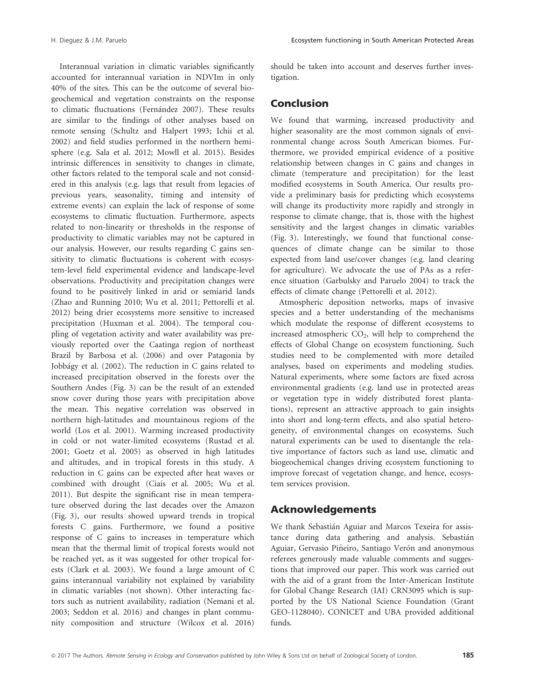Interannual variation in climatic variables significantly accounted for interannual variation in NDVIm in only 40% of the sites. This can be the outcome of several biogeochemical and vegetation constraints on the response to climatic fluctuations (Fernández 2007). These results are similar to the findings of other analyses based on remote sensing (Schultz and Halpert 1993; Ichii et al. 2002) and field studies performed in the northern hemisphere (e.g. Sala et al. 2012; Mowll et al. 2015). Besides intrinsic differences in sensitivity to changes in climate, other factors related to the temporal scale and not considered in this analysis (e.g. lags that result from legacies of previous years, seasonality, timing and intensity of extreme events) can explain the lack of response of some ecosystems to climatic fluctuation. Furthermore, aspects related to non-linearity or thresholds in the response of productivity to climatic variables may not be captured in our analysis. However, our results regarding C gains sensitivity to climatic fluctuations is coherent with ecosystem-level field experimental evidence and landscape-level observations. Productivity and precipitation changes were found to be positively linked in arid or semiarid lands (Zhao and Running 2010; Wu et al. 2011; Pettorelli et al. 2012) being drier ecosystems more sensitive to increased precipitation (Huxman et al. 2004). The temporal coupling of vegetation activity and water availability was previously reported over the Caatinga region of northeast Brazil by Barbosa et al. (2006) and over Patagonia by Jobbagy et al. (2002). The reduction in C gains related to increased precipitation observed in the forests over the Southern Andes (Fig. 3) can be the result of an extended snow cover during those years with precipitation above the mean. This negative correlation was observed in northern high-latitudes and mountainous regions of the world (Los et al. 2001). Warming increased productivity in cold or not water-limited ecosystems (Rustad et al. 2001; Goetz et al. 2005) as observed in high latitudes and altitudes, and in tropical forests in this study. A reduction in C gains can be expected after heat waves or combined with drought (Ciais et al. 2005; Wu et al. 2011). But despite the significant rise in mean temperature observed during the last decades over the Amazon (Fig. 3), our results showed upward trends in tropical forests C gains. Furthermore, we found a positive response of C gains to increases in temperature which mean that the thermal limit of tropical forests would not be reached yet, as it was suggested for other tropical forests (Clark et al. 2003). We found a large amount of C gains interannual variability not explained by variability in climatic variables (not shown). Other interacting factors such as nutrient availability, radiation (Nemani et al. 2003; Seddon et al. 2016) and changes in plant community composition and structure (Wilcox et al. 2016) should be taken into account and deserves further investigation.

### Conclusion

We found that warming, increased productivity and higher seasonality are the most common signals of environmental change across South American biomes. Furthermore, we provided empirical evidence of a positive relationship between changes in C gains and changes in climate (temperature and precipitation) for the least modified ecosystems in South America. Our results provide a preliminary basis for predicting which ecosystems will change its productivity more rapidly and strongly in response to climate change, that is, those with the highest sensitivity and the largest changes in climatic variables (Fig. 3). Interestingly, we found that functional consequences of climate change can be similar to those expected from land use/cover changes (e.g. land clearing for agriculture). We advocate the use of PAs as a reference situation (Garbulsky and Paruelo 2004) to track the effects of climate change (Pettorelli et al. 2012).

Atmospheric deposition networks, maps of invasive species and a better understanding of the mechanisms which modulate the response of different ecosystems to increased atmospheric  $CO<sub>2</sub>$ , will help to comprehend the effects of Global Change on ecosystem functioning. Such studies need to be complemented with more detailed analyses, based on experiments and modeling studies. Natural experiments, where some factors are fixed across environmental gradients (e.g. land use in protected areas or vegetation type in widely distributed forest plantations), represent an attractive approach to gain insights into short and long-term effects, and also spatial heterogeneity, of environmental changes on ecosystems. Such natural experiments can be used to disentangle the relative importance of factors such as land use, climatic and biogeochemical changes driving ecosystem functioning to improve forecast of vegetation change, and hence, ecosystem services provision.

### Acknowledgements

We thank Sebastian Aguiar and Marcos Texeira for assistance during data gathering and analysis. Sebastian Aguiar, Gervasio Piñeiro, Santiago Verón and anonymous referees generously made valuable comments and suggestions that improved our paper. This work was carried out with the aid of a grant from the Inter-American Institute for Global Change Research (IAI) CRN3095 which is supported by the US National Science Foundation (Grant GEO-1128040). CONICET and UBA provided additional funds.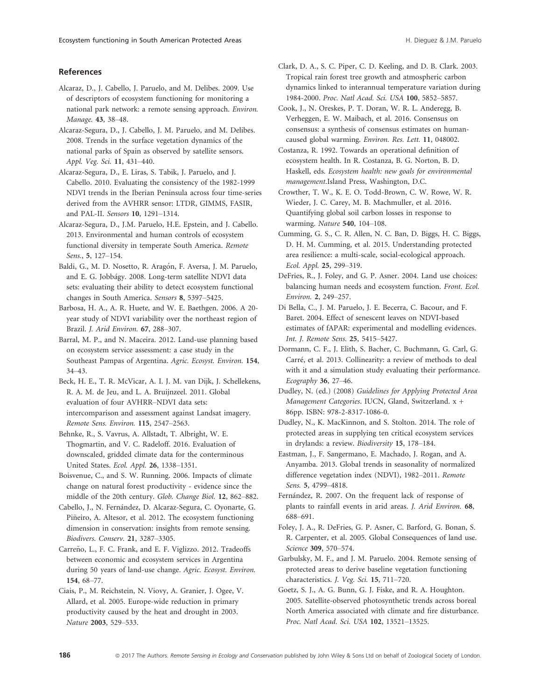#### References

- Alcaraz, D., J. Cabello, J. Paruelo, and M. Delibes. 2009. Use of descriptors of ecosystem functioning for monitoring a national park network: a remote sensing approach. Environ. Manage. 43, 38–48.
- Alcaraz-Segura, D., J. Cabello, J. M. Paruelo, and M. Delibes. 2008. Trends in the surface vegetation dynamics of the national parks of Spain as observed by satellite sensors. Appl. Veg. Sci. 11, 431–440.
- Alcaraz-Segura, D., E. Liras, S. Tabik, J. Paruelo, and J. Cabello. 2010. Evaluating the consistency of the 1982-1999 NDVI trends in the Iberian Peninsula across four time-series derived from the AVHRR sensor: LTDR, GIMMS, FASIR, and PAL-II. Sensors 10, 1291–1314.
- Alcaraz-Segura, D., J.M. Paruelo, H.E. Epstein, and J. Cabello. 2013. Environmental and human controls of ecosystem functional diversity in temperate South America. Remote Sens., 5, 127–154.
- Baldi, G., M. D. Nosetto, R. Aragón, F. Aversa, J. M. Paruelo, and E. G. Jobbagy. 2008. Long-term satellite NDVI data sets: evaluating their ability to detect ecosystem functional changes in South America. Sensors 8, 5397–5425.
- Barbosa, H. A., A. R. Huete, and W. E. Baethgen. 2006. A 20 year study of NDVI variability over the northeast region of Brazil. J. Arid Environ. 67, 288–307.
- Barral, M. P., and N. Maceira. 2012. Land-use planning based on ecosystem service assessment: a case study in the Southeast Pampas of Argentina. Agric. Ecosyst. Environ. 154, 34–43.
- Beck, H. E., T. R. McVicar, A. I. J. M. van Dijk, J. Schellekens, R. A. M. de Jeu, and L. A. Bruijnzeel. 2011. Global evaluation of four AVHRR–NDVI data sets: intercomparison and assessment against Landsat imagery. Remote Sens. Environ. 115, 2547–2563.
- Behnke, R., S. Vavrus, A. Allstadt, T. Albright, W. E. Thogmartin, and V. C. Radeloff. 2016. Evaluation of downscaled, gridded climate data for the conterminous United States. Ecol. Appl. 26, 1338–1351.
- Boisvenue, C., and S. W. Running. 2006. Impacts of climate change on natural forest productivity - evidence since the middle of the 20th century. Glob. Change Biol. 12, 862–882.
- Cabello, J., N. Fernández, D. Alcaraz-Segura, C. Oyonarte, G. Pineiro, A. Altesor, et al. 2012. The ecosystem functioning ~ dimension in conservation: insights from remote sensing. Biodivers. Conserv. 21, 3287–3305.
- Carreño, L., F. C. Frank, and E. F. Viglizzo. 2012. Tradeoffs between economic and ecosystem services in Argentina during 50 years of land-use change. Agric. Ecosyst. Environ. 154, 68–77.
- Ciais, P., M. Reichstein, N. Viovy, A. Granier, J. Ogee, V. Allard, et al. 2005. Europe-wide reduction in primary productivity caused by the heat and drought in 2003. Nature 2003, 529–533.
- Clark, D. A., S. C. Piper, C. D. Keeling, and D. B. Clark. 2003. Tropical rain forest tree growth and atmospheric carbon dynamics linked to interannual temperature variation during 1984-2000. Proc. Natl Acad. Sci. USA 100, 5852–5857.
- Cook, J., N. Oreskes, P. T. Doran, W. R. L. Anderegg, B. Verheggen, E. W. Maibach, et al. 2016. Consensus on consensus: a synthesis of consensus estimates on humancaused global warming. Environ. Res. Lett. 11, 048002.
- Costanza, R. 1992. Towards an operational definition of ecosystem health. In R. Costanza, B. G. Norton, B. D. Haskell, eds. Ecosystem health: new goals for environmental management.Island Press, Washington, D.C.
- Crowther, T. W., K. E. O. Todd-Brown, C. W. Rowe, W. R. Wieder, J. C. Carey, M. B. Machmuller, et al. 2016. Quantifying global soil carbon losses in response to warming. Nature 540, 104–108.
- Cumming, G. S., C. R. Allen, N. C. Ban, D. Biggs, H. C. Biggs, D. H. M. Cumming, et al. 2015. Understanding protected area resilience: a multi-scale, social-ecological approach. Ecol. Appl. 25, 299–319.
- DeFries, R., J. Foley, and G. P. Asner. 2004. Land use choices: balancing human needs and ecosystem function. Front. Ecol. Environ. 2, 249–257.
- Di Bella, C., J. M. Paruelo, J. E. Becerra, C. Bacour, and F. Baret. 2004. Effect of senescent leaves on NDVI-based estimates of fAPAR: experimental and modelling evidences. Int. J. Remote Sens. 25, 5415–5427.
- Dormann, C. F., J. Elith, S. Bacher, C. Buchmann, G. Carl, G. Carre, et al. 2013. Collinearity: a review of methods to deal with it and a simulation study evaluating their performance. Ecography 36, 27–46.
- Dudley, N. (ed.) (2008) Guidelines for Applying Protected Area Management Categories. IUCN, Gland, Switzerland. x + 86pp. ISBN: 978-2-8317-1086-0.
- Dudley, N., K. MacKinnon, and S. Stolton. 2014. The role of protected areas in supplying ten critical ecosystem services in drylands: a review. Biodiversity 15, 178–184.
- Eastman, J., F. Sangermano, E. Machado, J. Rogan, and A. Anyamba. 2013. Global trends in seasonality of normalized difference vegetation index (NDVI), 1982–2011. Remote Sens. 5, 4799–4818.
- Fernández, R. 2007. On the frequent lack of response of plants to rainfall events in arid areas. J. Arid Environ. 68, 688–691.
- Foley, J. A., R. DeFries, G. P. Asner, C. Barford, G. Bonan, S. R. Carpenter, et al. 2005. Global Consequences of land use. Science 309, 570–574.
- Garbulsky, M. F., and J. M. Paruelo. 2004. Remote sensing of protected areas to derive baseline vegetation functioning characteristics. J. Veg. Sci. 15, 711–720.
- Goetz, S. J., A. G. Bunn, G. J. Fiske, and R. A. Houghton. 2005. Satellite-observed photosynthetic trends across boreal North America associated with climate and fire disturbance. Proc. Natl Acad. Sci. USA 102, 13521–13525.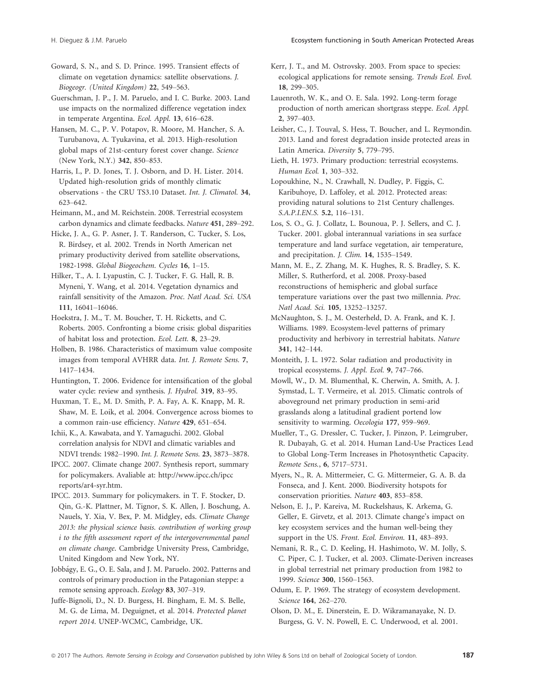Goward, S. N., and S. D. Prince. 1995. Transient effects of climate on vegetation dynamics: satellite observations. J. Biogeogr. (United Kingdom) 22, 549–563.

Guerschman, J. P., J. M. Paruelo, and I. C. Burke. 2003. Land use impacts on the normalized difference vegetation index in temperate Argentina. Ecol. Appl. 13, 616–628.

Hansen, M. C., P. V. Potapov, R. Moore, M. Hancher, S. A. Turubanova, A. Tyukavina, et al. 2013. High-resolution global maps of 21st-century forest cover change. Science (New York, N.Y.) 342, 850–853.

Harris, I., P. D. Jones, T. J. Osborn, and D. H. Lister. 2014. Updated high-resolution grids of monthly climatic observations - the CRU TS3.10 Dataset. Int. J. Climatol. 34, 623–642.

Heimann, M., and M. Reichstein. 2008. Terrestrial ecosystem carbon dynamics and climate feedbacks. Nature 451, 289–292.

Hicke, J. A., G. P. Asner, J. T. Randerson, C. Tucker, S. Los, R. Birdsey, et al. 2002. Trends in North American net primary productivity derived from satellite observations, 1982-1998. Global Biogeochem. Cycles 16, 1–15.

Hilker, T., A. I. Lyapustin, C. J. Tucker, F. G. Hall, R. B. Myneni, Y. Wang, et al. 2014. Vegetation dynamics and rainfall sensitivity of the Amazon. Proc. Natl Acad. Sci. USA 111, 16041–16046.

Hoekstra, J. M., T. M. Boucher, T. H. Ricketts, and C. Roberts. 2005. Confronting a biome crisis: global disparities of habitat loss and protection. Ecol. Lett. 8, 23–29.

Holben, B. 1986. Characteristics of maximum value composite images from temporal AVHRR data. Int. J. Remote Sens. 7, 1417–1434.

Huntington, T. 2006. Evidence for intensification of the global water cycle: review and synthesis. J. Hydrol. 319, 83–95.

Huxman, T. E., M. D. Smith, P. A. Fay, A. K. Knapp, M. R. Shaw, M. E. Loik, et al. 2004. Convergence across biomes to a common rain-use efficiency. Nature 429, 651–654.

Ichii, K., A. Kawabata, and Y. Yamaguchi. 2002. Global correlation analysis for NDVI and climatic variables and NDVI trends: 1982–1990. Int. J. Remote Sens. 23, 3873–3878.

IPCC. 2007. Climate change 2007. Synthesis report, summary for policymakers. Avaliable at: [http://www.ipcc.ch/ipcc](http://www.ipcc.ch/ipccreports/ar4-syr.htm) [reports/ar4-syr.htm.](http://www.ipcc.ch/ipccreports/ar4-syr.htm)

IPCC. 2013. Summary for policymakers. in T. F. Stocker, D. Qin, G.-K. Plattner, M. Tignor, S. K. Allen, J. Boschung, A. Nauels, Y. Xia, V. Bex, P. M. Midgley, eds. Climate Change 2013: the physical science basis. contribution of working group i to the fifth assessment report of the intergovernmental panel on climate change. Cambridge University Press, Cambridge, United Kingdom and New York, NY.

Jobbágy, E. G., O. E. Sala, and J. M. Paruelo. 2002. Patterns and controls of primary production in the Patagonian steppe: a remote sensing approach. Ecology 83, 307–319.

Juffe-Bignoli, D., N. D. Burgess, H. Bingham, E. M. S. Belle, M. G. de Lima, M. Deguignet, et al. 2014. Protected planet report 2014. UNEP-WCMC, Cambridge, UK.

Kerr, J. T., and M. Ostrovsky. 2003. From space to species: ecological applications for remote sensing. Trends Ecol. Evol. 18, 299–305.

Lauenroth, W. K., and O. E. Sala. 1992. Long-term forage production of north american shortgrass steppe. Ecol. Appl. 2, 397–403.

Leisher, C., J. Touval, S. Hess, T. Boucher, and L. Reymondin. 2013. Land and forest degradation inside protected areas in Latin America. Diversity 5, 779–795.

Lieth, H. 1973. Primary production: terrestrial ecosystems. Human Ecol. 1, 303–332.

Lopoukhine, N., N. Crawhall, N. Dudley, P. Figgis, C. Karibuhoye, D. Laffoley, et al. 2012. Protected areas: providing natural solutions to 21st Century challenges. S.A.P.I.EN.S. 5.2, 116-131.

Los, S. O., G. J. Collatz, L. Bounoua, P. J. Sellers, and C. J. Tucker. 2001. global interannual variations in sea surface temperature and land surface vegetation, air temperature, and precipitation. J. Clim. 14, 1535–1549.

Mann, M. E., Z. Zhang, M. K. Hughes, R. S. Bradley, S. K. Miller, S. Rutherford, et al. 2008. Proxy-based reconstructions of hemispheric and global surface temperature variations over the past two millennia. Proc. Natl Acad. Sci. 105, 13252–13257.

McNaughton, S. J., M. Oesterheld, D. A. Frank, and K. J. Williams. 1989. Ecosystem-level patterns of primary productivity and herbivory in terrestrial habitats. Nature 341, 142–144.

Monteith, J. L. 1972. Solar radiation and productivity in tropical ecosystems. J. Appl. Ecol. 9, 747–766.

Mowll, W., D. M. Blumenthal, K. Cherwin, A. Smith, A. J. Symstad, L. T. Vermeire, et al. 2015. Climatic controls of aboveground net primary production in semi-arid grasslands along a latitudinal gradient portend low sensitivity to warming. Oecologia 177, 959–969.

Mueller, T., G. Dressler, C. Tucker, J. Pinzon, P. Leimgruber, R. Dubayah, G. et al. 2014. Human Land-Use Practices Lead to Global Long-Term Increases in Photosynthetic Capacity. Remote Sens., 6, 5717–5731.

Myers, N., R. A. Mittermeier, C. G. Mittermeier, G. A. B. da Fonseca, and J. Kent. 2000. Biodiversity hotspots for conservation priorities. Nature 403, 853–858.

Nelson, E. J., P. Kareiva, M. Ruckelshaus, K. Arkema, G. Geller, E. Girvetz, et al. 2013. Climate change's impact on key ecosystem services and the human well-being they support in the US. Front. Ecol. Environ. 11, 483-893.

Nemani, R. R., C. D. Keeling, H. Hashimoto, W. M. Jolly, S. C. Piper, C. J. Tucker, et al. 2003. Climate-Deriven increases in global terrestrial net primary production from 1982 to 1999. Science 300, 1560–1563.

Odum, E. P. 1969. The strategy of ecosystem development. Science 164, 262–270.

Olson, D. M., E. Dinerstein, E. D. Wikramanayake, N. D. Burgess, G. V. N. Powell, E. C. Underwood, et al. 2001.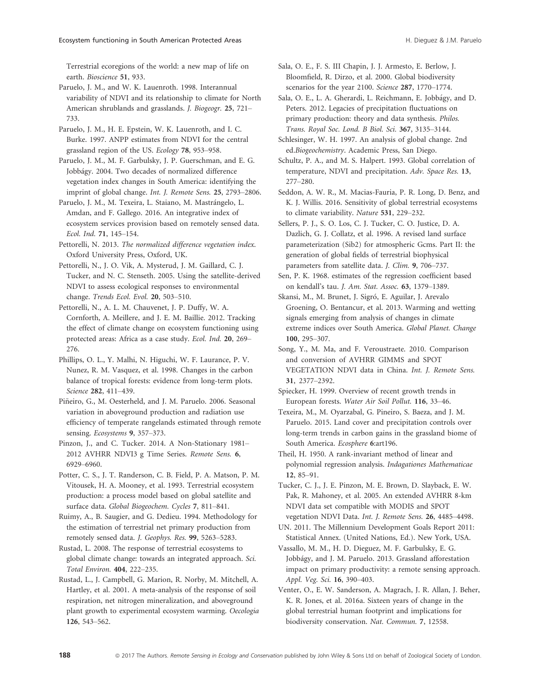Terrestrial ecoregions of the world: a new map of life on earth. Bioscience 51, 933.

Paruelo, J. M., and W. K. Lauenroth. 1998. Interannual variability of NDVI and its relationship to climate for North American shrublands and grasslands. J. Biogeogr. 25, 721– 733.

Paruelo, J. M., H. E. Epstein, W. K. Lauenroth, and I. C. Burke. 1997. ANPP estimates from NDVI for the central grassland region of the US. Ecology 78, 953–958.

Paruelo, J. M., M. F. Garbulsky, J. P. Guerschman, and E. G. Jobbagy. 2004. Two decades of normalized difference vegetation index changes in South America: identifying the imprint of global change. Int. J. Remote Sens. 25, 2793–2806.

Paruelo, J. M., M. Texeira, L. Staiano, M. Mastrángelo, L. Amdan, and F. Gallego. 2016. An integrative index of ecosystem services provision based on remotely sensed data. Ecol. Ind. 71, 145–154.

Pettorelli, N. 2013. The normalized difference vegetation index. Oxford University Press, Oxford, UK.

Pettorelli, N., J. O. Vik, A. Mysterud, J. M. Gaillard, C. J. Tucker, and N. C. Stenseth. 2005. Using the satellite-derived NDVI to assess ecological responses to environmental change. Trends Ecol. Evol. 20, 503–510.

Pettorelli, N., A. L. M. Chauvenet, J. P. Duffy, W. A. Cornforth, A. Meillere, and J. E. M. Baillie. 2012. Tracking the effect of climate change on ecosystem functioning using protected areas: Africa as a case study. Ecol. Ind. 20, 269– 276.

Phillips, O. L., Y. Malhi, N. Higuchi, W. F. Laurance, P. V. Nunez, R. M. Vasquez, et al. 1998. Changes in the carbon balance of tropical forests: evidence from long-term plots. Science 282, 411–439.

Piñeiro, G., M. Oesterheld, and J. M. Paruelo. 2006. Seasonal variation in aboveground production and radiation use efficiency of temperate rangelands estimated through remote sensing. Ecosystems 9, 357–373.

Pinzon, J., and C. Tucker. 2014. A Non-Stationary 1981– 2012 AVHRR NDVI3 g Time Series. Remote Sens. 6, 6929–6960.

Potter, C. S., J. T. Randerson, C. B. Field, P. A. Matson, P. M. Vitousek, H. A. Mooney, et al. 1993. Terrestrial ecosystem production: a process model based on global satellite and surface data. Global Biogeochem. Cycles 7, 811–841.

Ruimy, A., B. Saugier, and G. Dedieu. 1994. Methodology for the estimation of terrestrial net primary production from remotely sensed data. J. Geophys. Res. 99, 5263–5283.

Rustad, L. 2008. The response of terrestrial ecosystems to global climate change: towards an integrated approach. Sci. Total Environ. 404, 222–235.

Rustad, L., J. Campbell, G. Marion, R. Norby, M. Mitchell, A. Hartley, et al. 2001. A meta-analysis of the response of soil respiration, net nitrogen mineralization, and aboveground plant growth to experimental ecosystem warming. Oecologia 126, 543–562.

Sala, O. E., F. S. III Chapin, J. J. Armesto, E. Berlow, J. Bloomfield, R. Dirzo, et al. 2000. Global biodiversity scenarios for the year 2100. Science 287, 1770–1774.

Sala, O. E., L. A. Gherardi, L. Reichmann, E. Jobbagy, and D. Peters. 2012. Legacies of precipitation fluctuations on primary production: theory and data synthesis. Philos. Trans. Royal Soc. Lond. B Biol. Sci. 367, 3135–3144.

Schlesinger, W. H. 1997. An analysis of global change. 2nd ed.Biogeochemistry. Academic Press, San Diego.

Schultz, P. A., and M. S. Halpert. 1993. Global correlation of temperature, NDVI and precipitation. Adv. Space Res. 13, 277–280.

Seddon, A. W. R., M. Macias-Fauria, P. R. Long, D. Benz, and K. J. Willis. 2016. Sensitivity of global terrestrial ecosystems to climate variability. Nature 531, 229–232.

Sellers, P. J., S. O. Los, C. J. Tucker, C. O. Justice, D. A. Dazlich, G. J. Collatz, et al. 1996. A revised land surface parameterization (Sib2) for atmospheric Gcms. Part II: the generation of global fields of terrestrial biophysical parameters from satellite data. *J. Clim.* 9, 706-737.

Sen, P. K. 1968. estimates of the regression coefficient based on kendall's tau. J. Am. Stat. Assoc. 63, 1379–1389.

Skansi, M., M. Brunet, J. Sigró, E. Aguilar, J. Arevalo Groening, O. Bentancur, et al. 2013. Warming and wetting signals emerging from analysis of changes in climate extreme indices over South America. Global Planet. Change 100, 295–307.

Song, Y., M. Ma, and F. Veroustraete. 2010. Comparison and conversion of AVHRR GIMMS and SPOT VEGETATION NDVI data in China. Int. J. Remote Sens. 31, 2377–2392.

Spiecker, H. 1999. Overview of recent growth trends in European forests. Water Air Soil Pollut. 116, 33–46.

Texeira, M., M. Oyarzabal, G. Pineiro, S. Baeza, and J. M. Paruelo. 2015. Land cover and precipitation controls over long-term trends in carbon gains in the grassland biome of South America. Ecosphere 6:art196.

Theil, H. 1950. A rank-invariant method of linear and polynomial regression analysis. Indagationes Mathematicae 12, 85–91.

Tucker, C. J., J. E. Pinzon, M. E. Brown, D. Slayback, E. W. Pak, R. Mahoney, et al. 2005. An extended AVHRR 8-km NDVI data set compatible with MODIS and SPOT vegetation NDVI Data. Int. J. Remote Sens. 26, 4485–4498.

UN. 2011. The Millennium Development Goals Report 2011: Statistical Annex. (United Nations, Ed.). New York, USA.

Vassallo, M. M., H. D. Dieguez, M. F. Garbulsky, E. G. Jobbagy, and J. M. Paruelo. 2013. Grassland afforestation impact on primary productivity: a remote sensing approach. Appl. Veg. Sci. 16, 390–403.

Venter, O., E. W. Sanderson, A. Magrach, J. R. Allan, J. Beher, K. R. Jones, et al. 2016a. Sixteen years of change in the global terrestrial human footprint and implications for biodiversity conservation. Nat. Commun. 7, 12558.